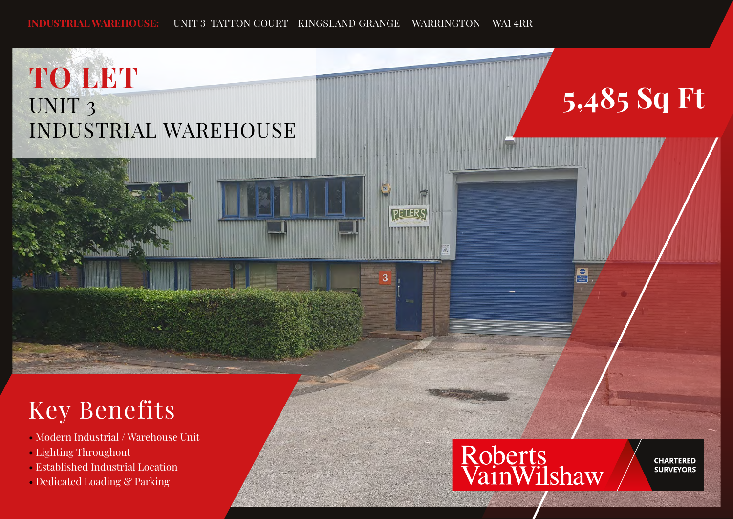**PETER'S** 

З

## **TO LET** UNIT 3 INDUSTRIAL WAREHOUSE

# **5,485 Sq Ft**

## Key Benefits

- Modern Industrial / Warehouse Unit
- Lighting Throughout
- Established Industrial Location
- Dedicated Loading & Parking



**CHARTERED SURVEYORS**